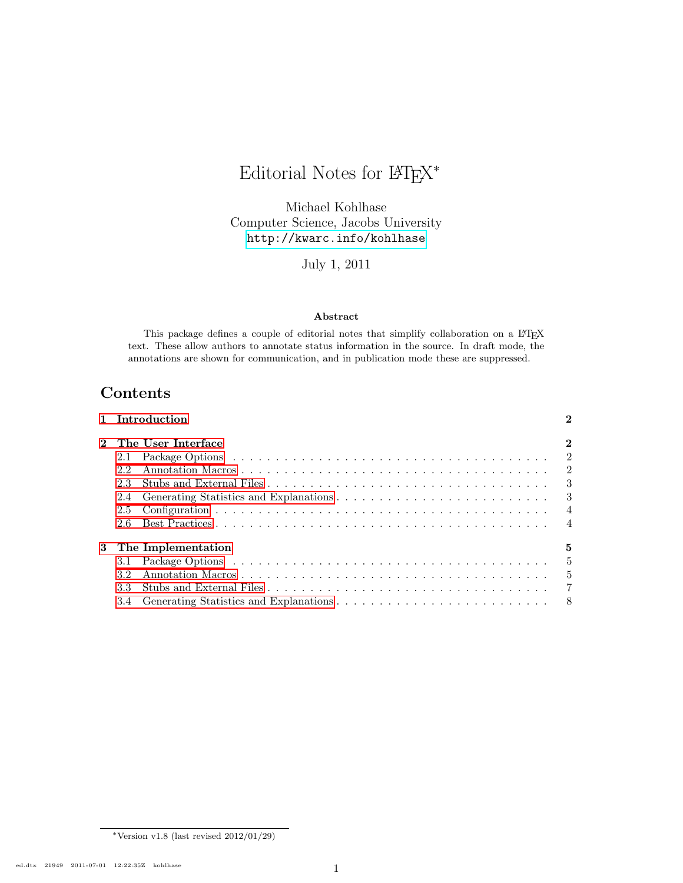# Editorial Notes for  $\mathbb{F}\mathrm{F}\mathrm{F}\mathrm{X}^*$

Michael Kohlhase Computer Science, Jacobs University <http://kwarc.info/kohlhase>

July 1, 2011

### Abstract

This package defines a couple of editorial notes that simplify collaboration on a LATEX text. These allow authors to annotate status information in the source. In draft mode, the annotations are shown for communication, and in publication mode these are suppressed.

# Contents

|     | 1 Introduction       | 2 |  |  |  |  |
|-----|----------------------|---|--|--|--|--|
|     | 2 The User Interface |   |  |  |  |  |
| 2.1 |                      |   |  |  |  |  |
| 2.2 |                      |   |  |  |  |  |
| 2.3 |                      |   |  |  |  |  |
| 2.4 |                      |   |  |  |  |  |
| 2.5 |                      |   |  |  |  |  |
| 2.6 |                      |   |  |  |  |  |
|     | 3 The Implementation | 5 |  |  |  |  |
|     |                      |   |  |  |  |  |
| 3.2 |                      |   |  |  |  |  |
| 3.3 |                      |   |  |  |  |  |
|     |                      |   |  |  |  |  |

<sup>∗</sup>Version v1.8 (last revised 2012/01/29)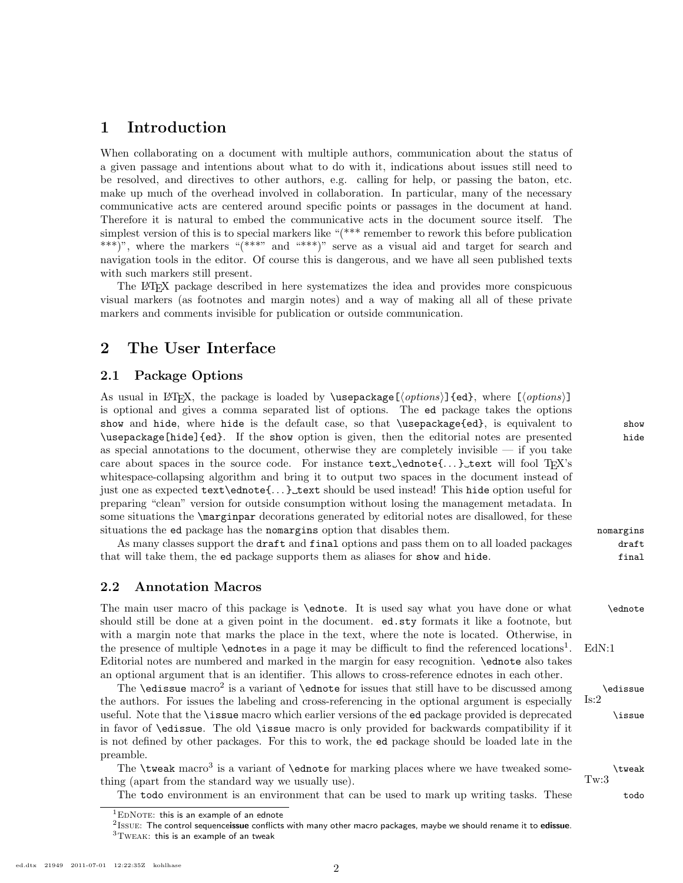# <span id="page-1-0"></span>1 Introduction

When collaborating on a document with multiple authors, communication about the status of a given passage and intentions about what to do with it, indications about issues still need to be resolved, and directives to other authors, e.g. calling for help, or passing the baton, etc. make up much of the overhead involved in collaboration. In particular, many of the necessary communicative acts are centered around specific points or passages in the document at hand. Therefore it is natural to embed the communicative acts in the document source itself. The simplest version of this is to special markers like "(\*\*\* remember to rework this before publication \*\*\*)", where the markers "(\*\*\*" and "\*\*\*)" serve as a visual aid and target for search and navigation tools in the editor. Of course this is dangerous, and we have all seen published texts with such markers still present.

The LATEX package described in here systematizes the idea and provides more conspicuous visual markers (as footnotes and margin notes) and a way of making all all of these private markers and comments invisible for publication or outside communication.

# <span id="page-1-1"></span>2 The User Interface

## <span id="page-1-2"></span>2.1 Package Options

As usual in LATEX, the package is loaded by \usepackage[ $\{options\}$ ]{ed}, where [ $\{options\}$ ] is optional and gives a comma separated list of options. The ed package takes the options show and hide, where hide is the default case, so that \usepackage{ed}, is equivalent to show \usepackage[hide]{ed}. If the show option is given, then the editorial notes are presented hide as special annotations to the document, otherwise they are completely invisible  $-$  if you take care about spaces in the source code. For instance  $text_{ext}\text{-}leat...$ . Lext will fool T<sub>E</sub>X's whitespace-collapsing algorithm and bring it to output two spaces in the document instead of just one as expected text\ednote{. . . } text should be used instead! This hide option useful for preparing "clean" version for outside consumption without losing the management metadata. In some situations the  $\langle$ marginpar decorations generated by editorial notes are disallowed, for these situations the ed package has the nomargins option that disables them. nomargins nomargins

As many classes support the draft and final options and pass them on to all loaded packages draft that will take them, the ed package supports them as aliases for show and hide. final

## <span id="page-1-3"></span>2.2 Annotation Macros

The main user macro of this package is \ednote. It is used say what you have done or what \ednote should still be done at a given point in the document. ed.sty formats it like a footnote, but with a margin note that marks the place in the text, where the note is located. Otherwise, in the presence of multiple  $\delta$  dednotes in a page it may be difficult to find the referenced locations<sup>1</sup>. Editorial notes are numbered and marked in the margin for easy recognition. \ednote also takes an optional argument that is an identifier. This allows to cross-reference ednotes in each other.

The **\edissue** macro<sup>2</sup> is a variant of **\ednote** for issues that still have to be discussed among  $\cdot$  **\edissue** the authors. For issues the labeling and cross-referencing in the optional argument is especially Is:2 useful. Note that the \issue macro which earlier versions of the ed package provided is deprecated \issue in favor of \edissue. The old \issue macro is only provided for backwards compatibility if it is not defined by other packages. For this to work, the ed package should be loaded late in the preamble.

The \tweak macro<sup>3</sup> is a variant of \ednote for marking places where we have tweaked some-<br> thing (apart from the standard way we usually use). Tw:3

EdN:1

The todo environment is an environment that can be used to mark up writing tasks. These todo

 $1$ EDNOTE: this is an example of an ednote

 $^{2}$ ISSUE: The control sequenceissue conflicts with many other macro packages, maybe we should rename it to edissue.  $3$ TWEAK: this is an example of an tweak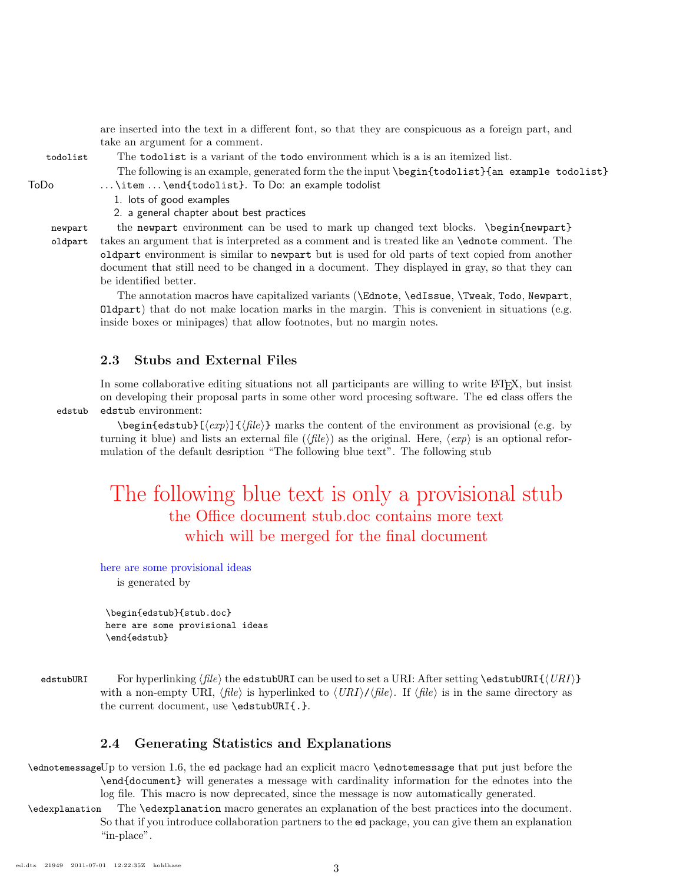are inserted into the text in a different font, so that they are conspicuous as a foreign part, and take an argument for a comment.

todolist The todolist is a variant of the todo environment which is a is an itemized list.

The following is an example, generated form the the input \begin{todolist}{an example todolist} ToDo ... \item ... \end{todolist}. To Do: an example todolist

1. lots of good examples

2. a general chapter about best practices

newpart the newpart environment can be used to mark up changed text blocks. \begin{newpart} oldpart takes an argument that is interpreted as a comment and is treated like an \ednote comment. The oldpart environment is similar to newpart but is used for old parts of text copied from another document that still need to be changed in a document. They displayed in gray, so that they can be identified better.

The annotation macros have capitalized variants (\Ednote, \edIssue, \Tweak, Todo, Newpart, Oldpart) that do not make location marks in the margin. This is convenient in situations (e.g. inside boxes or minipages) that allow footnotes, but no margin notes.

### <span id="page-2-0"></span>2.3 Stubs and External Files

In some collaborative editing situations not all participants are willing to write LAT<sub>E</sub>X, but insist on developing their proposal parts in some other word procesing software. The ed class offers the edstub edstub environment:

 $\begin{equation}$  \begin{edstub}[ $\langle exp\rangle$ ]{ $\langle file\rangle$ } marks the content of the environment as provisional (e.g. by turning it blue) and lists an external file  $(\langle file \rangle)$  as the original. Here,  $\langle exp \rangle$  is an optional reformulation of the default desription "The following blue text". The following stub

# The following blue text is only a provisional stub the Office document stub.doc contains more text which will be merged for the final document

here are some provisional ideas is generated by

\begin{edstub}{stub.doc} here are some provisional ideas \end{edstub}

edstubURI For hyperlinking  $\langle file \rangle$  the edstubURI can be used to set a URI: After setting \edstubURI{ $\langle URI \rangle$ } with a non-empty URI,  $\langle file \rangle$  is hyperlinked to  $\langle URI \rangle/\langle file \rangle$ . If  $\langle file \rangle$  is in the same directory as the current document, use \edstubURI{.}.

# <span id="page-2-1"></span>2.4 Generating Statistics and Explanations

- \ednotemessageUp to version 1.6, the ed package had an explicit macro \ednotemessage that put just before the \end{document} will generates a message with cardinality information for the ednotes into the log file. This macro is now deprecated, since the message is now automatically generated.
- \edexplanation The \edexplanation macro generates an explanation of the best practices into the document. So that if you introduce collaboration partners to the ed package, you can give them an explanation "in-place".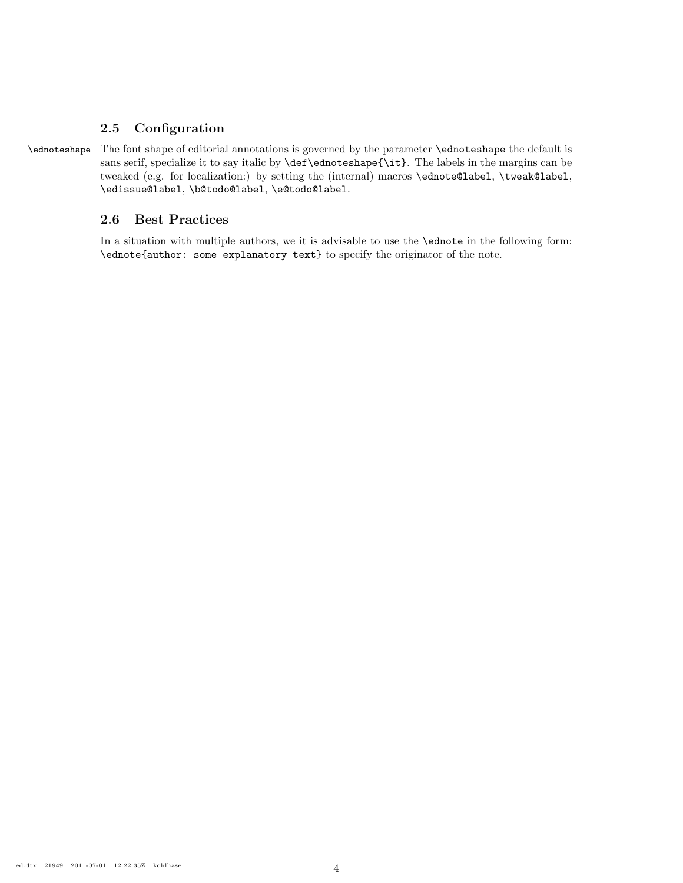# <span id="page-3-0"></span>2.5 Configuration

\ednoteshape The font shape of editorial annotations is governed by the parameter \ednoteshape the default is sans serif, specialize it to say italic by \def\ednoteshape{\it}. The labels in the margins can be tweaked (e.g. for localization:) by setting the (internal) macros \ednote@label, \tweak@label, \edissue@label, \b@todo@label, \e@todo@label.

# <span id="page-3-1"></span>2.6 Best Practices

In a situation with multiple authors, we it is advisable to use the \ednote in the following form: \ednote{author: some explanatory text} to specify the originator of the note.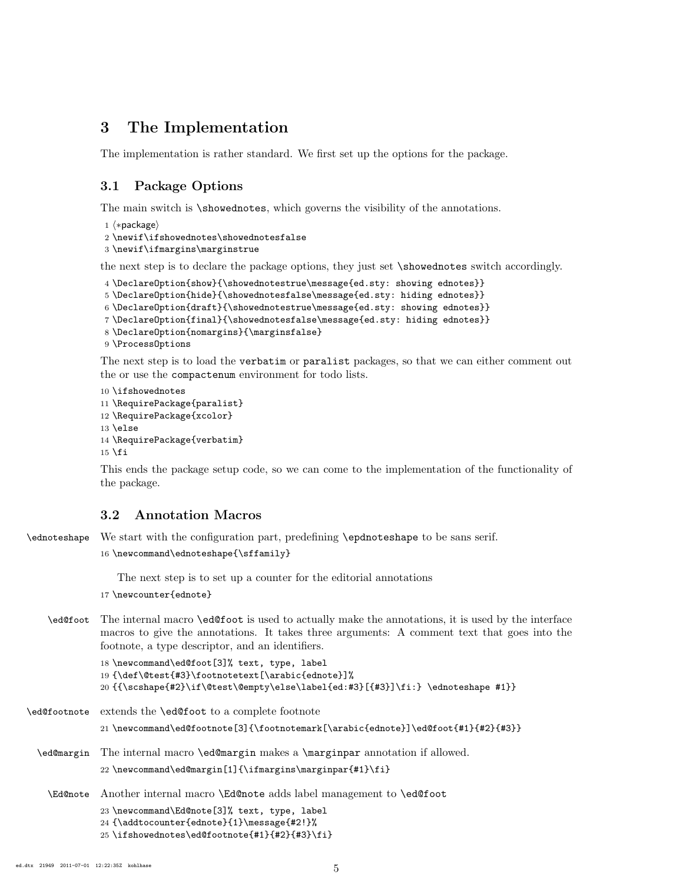# <span id="page-4-0"></span>3 The Implementation

The implementation is rather standard. We first set up the options for the package.

# <span id="page-4-1"></span>3.1 Package Options

The main switch is \showednotes, which governs the visibility of the annotations.

```
1 (*package)
```
- 2 \newif\ifshowednotes\showednotesfalse
- 3 \newif\ifmargins\marginstrue

the next step is to declare the package options, they just set \showednotes switch accordingly.

```
4 \DeclareOption{show}{\showednotestrue\message{ed.sty: showing ednotes}}
5 \DeclareOption{hide}{\showednotesfalse\message{ed.sty: hiding ednotes}}
6 \DeclareOption{draft}{\showednotestrue\message{ed.sty: showing ednotes}}
7 \DeclareOption{final}{\showednotesfalse\message{ed.sty: hiding ednotes}}
8 \DeclareOption{nomargins}{\marginsfalse}
9 \ProcessOptions
```
The next step is to load the verbatim or paralist packages, so that we can either comment out the or use the compactenum environment for todo lists.

```
10 \ifshowednotes
11 \RequirePackage{paralist}
12 \RequirePackage{xcolor}
13 \lambdaelse
14 \RequirePackage{verbatim}
15 \fi
```
This ends the package setup code, so we can come to the implementation of the functionality of the package.

## <span id="page-4-2"></span>3.2 Annotation Macros

\ednoteshape We start with the configuration part, predefining \epdnoteshape to be sans serif.

```
16 \newcommand\ednoteshape{\sffamily}
```
The next step is to set up a counter for the editorial annotations

```
17 \newcounter{ednote}
```
\ed@foot The internal macro \ed@foot is used to actually make the annotations, it is used by the interface macros to give the annotations. It takes three arguments: A comment text that goes into the footnote, a type descriptor, and an identifiers.

```
18 \newcommand\ed@foot[3]% text, type, label
19 {\def\@test{#3}\footnotetext[\arabic{ednote}]%
20 {{\scshape{#2}\if\@test\@empty\else\label{ed:#3}[{#3}]\fi:} \ednoteshape #1}}
```
\ed@footnote extends the \ed@foot to a complete footnote 21 \newcommand\ed@footnote[3]{\footnotemark[\arabic{ednote}]\ed@foot{#1}{#2}{#3}}

```
\ed@margin The internal macro \ed@margin makes a \marginpar annotation if allowed.
```

```
22 \newcommand\ed@margin[1]{\ifmargins\marginpar{#1}\fi}
```
- \Ed@note Another internal macro \Ed@note adds label management to \ed@foot
	- 23 \newcommand\Ed@note[3]% text, type, label
	- 24 {\addtocounter{ednote}{1}\message{#2!}%
	- 25 \ifshowednotes\ed@footnote{#1}{#2}{#3}\fi}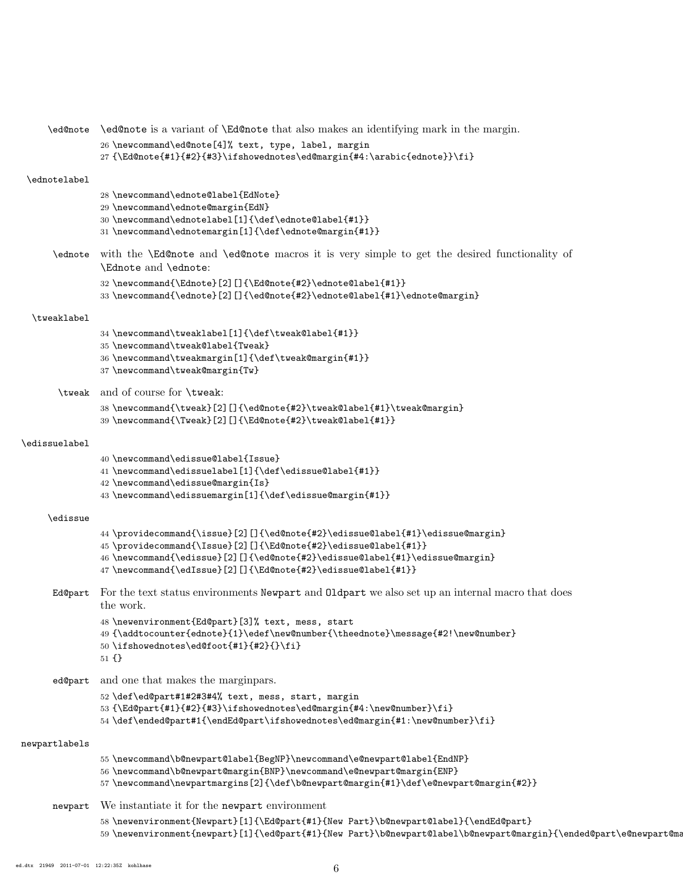|               | \ed@note \ed@note is a variant of \Ed@note that also makes an identifying mark in the margin.                                                                                                                                                                                                    |
|---------------|--------------------------------------------------------------------------------------------------------------------------------------------------------------------------------------------------------------------------------------------------------------------------------------------------|
|               | 26 \newcommand\ed@note[4]% text, type, label, margin<br>27 {\Ed@note{#1}{#2}{#3}\ifshowednotes\ed@margin{#4:\arabic{ednote}}\fi}                                                                                                                                                                 |
| \ednotelabel  |                                                                                                                                                                                                                                                                                                  |
|               | 28 \newcommand\ednote@label{EdNote}<br>29 \newcommand\ednote@margin{EdN}<br>30 \newcommand\ednotelabel[1]{\def\ednote@label{#1}}<br>31\newcommand\ednotemargin[1]{\def\ednote@margin{#1}}                                                                                                        |
| \ednote       | with the <b>\Ed@note</b> and <b>\ed@note</b> macros it is very simple to get the desired functionality of<br>\Ednote and \ednote:                                                                                                                                                                |
|               | 32 \newcommand{\Ednote}[2][]{\Ed@note{#2}\ednote@label{#1}}<br>33 \newcommand{\ednote}[2][]{\ed@note{#2}\ednote@label{#1}\ednote@margin}                                                                                                                                                         |
| \tweaklabel   |                                                                                                                                                                                                                                                                                                  |
|               | 34 \newcommand\tweaklabel[1]{\def\tweak@label{#1}}<br>35 \newcommand\tweak@label{Tweak}<br>36 \newcommand\tweakmargin[1]{\def\tweak@margin{#1}}<br>37 \newcommand\tweak@margin{Tw}                                                                                                               |
|               | \tweak and of course for \tweak:                                                                                                                                                                                                                                                                 |
|               | 38\newcommand{\tweak}[2][]{\ed@note{#2}\tweak@label{#1}\tweak@margin}<br>39 \newcommand{\Tweak}[2][]{\Ed@note{#2}\tweak@label{#1}}                                                                                                                                                               |
| \edissuelabel |                                                                                                                                                                                                                                                                                                  |
|               | 40 \newcommand\edissue@label{Issue}<br>41 \newcommand\edissuelabel[1]{\def\edissue@label{#1}}<br>42 \newcommand\edissue@margin{Is}<br>43\newcommand\edissuemargin[1]{\def\edissue@margin{#1}}                                                                                                    |
| \edissue      |                                                                                                                                                                                                                                                                                                  |
|               | 44 \providecommand{\issue}[2][]{\ed@note{#2}\edissue@label{#1}\edissue@margin}<br>45\providecommand{\Issue}[2][]{\Ed@note{#2}\edissue@label{#1}}<br>46 \newcommand{\edissue}[2][]{\ed@note{#2}\edissue@label{#1}\edissue@margin}<br>47\newcommand{\edIssue}[2][]{\Ed@note{#2}\edissue@label{#1}} |
| Ed@part       | For the text status environments Newpart and Oldpart we also set up an internal macro that does<br>the work.                                                                                                                                                                                     |
|               | 48 \newenvironment{Ed@part}[3]% text, mess, start<br>49 {\addtocounter{ednote}{1}\edef\new@number{\theednote}\message{#2!\new@number}<br>50\ifshowednotes\ed@foot{#1}{#2}{}\fi}<br>$51 \; {\rm {\{}}\}$                                                                                          |
| ed@part       | and one that makes the margin pars.                                                                                                                                                                                                                                                              |
|               | 52 \def\ed@part#1#2#3#4% text, mess, start, margin<br>53 {\Ed@part{#1}{#2}{#3}\ifshowednotes\ed@margin{#4:\new@number}\fi}<br>54 \def\ended@part#1{\endEd@part\ifshowednotes\ed@margin{#1:\new@number}\fi}                                                                                       |
| newpartlabels |                                                                                                                                                                                                                                                                                                  |
|               | 55 \newcommand\b@newpart@label{BegNP}\newcommand\e@newpart@label{EndNP}<br>56 \newcommand\b@newpart@margin{BNP}\newcommand\e@newpart@margin{ENP}<br>57\newcommand\newpartmargins[2]{\def\b@newpart@margin{#1}\def\e@newpart@margin{#2}}                                                          |
| newpart       | We instantiate it for the newpart environment                                                                                                                                                                                                                                                    |
|               | 58 \newenvironment{Newpart}[1]{\Ed@part{#1}{New Part}\b@newpart@label}{\endEd@part}<br>59 \newenvironment{newpart}[1]{\ed@part{#1}{New Part}\b@newpart@label\b@newpart@margin}{\ended@part\e@newpart@ma                                                                                          |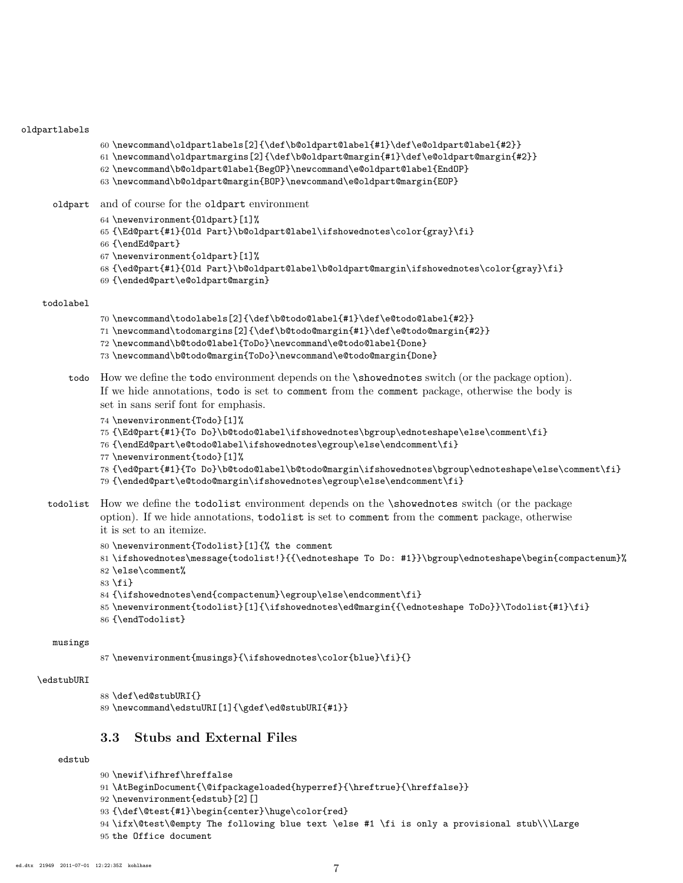#### oldpartlabels

- \newcommand\oldpartlabels[2]{\def\b@oldpart@label{#1}\def\e@oldpart@label{#2}}
- \newcommand\oldpartmargins[2]{\def\b@oldpart@margin{#1}\def\e@oldpart@margin{#2}}
- \newcommand\b@oldpart@label{BegOP}\newcommand\e@oldpart@label{EndOP}
- \newcommand\b@oldpart@margin{BOP}\newcommand\e@oldpart@margin{EOP}

oldpart and of course for the oldpart environment

- \newenvironment{Oldpart}[1]%
- {\Ed@part{#1}{Old Part}\b@oldpart@label\ifshowednotes\color{gray}\fi}
- {\endEd@part}
- \newenvironment{oldpart}[1]%
- {\ed@part{#1}{Old Part}\b@oldpart@label\b@oldpart@margin\ifshowednotes\color{gray}\fi}
- {\ended@part\e@oldpart@margin}

#### todolabel

- \newcommand\todolabels[2]{\def\b@todo@label{#1}\def\e@todo@label{#2}}
- \newcommand\todomargins[2]{\def\b@todo@margin{#1}\def\e@todo@margin{#2}}
- \newcommand\b@todo@label{ToDo}\newcommand\e@todo@label{Done}
- \newcommand\b@todo@margin{ToDo}\newcommand\e@todo@margin{Done}
- todo How we define the todo environment depends on the \showednotes switch (or the package option). If we hide annotations, todo is set to comment from the comment package, otherwise the body is set in sans serif font for emphasis.
	- \newenvironment{Todo}[1]%
	- {\Ed@part{#1}{To Do}\b@todo@label\ifshowednotes\bgroup\ednoteshape\else\comment\fi}
	- {\endEd@part\e@todo@label\ifshowednotes\egroup\else\endcomment\fi}
	- \newenvironment{todo}[1]%

 {\ed@part{#1}{To Do}\b@todo@label\b@todo@margin\ifshowednotes\bgroup\ednoteshape\else\comment\fi} {\ended@part\e@todo@margin\ifshowednotes\egroup\else\endcomment\fi}

- todolist How we define the todolist environment depends on the \showednotes switch (or the package option). If we hide annotations, todolist is set to comment from the comment package, otherwise it is set to an itemize.
	- \newenvironment{Todolist}[1]{% the comment
		- \ifshowednotes\message{todolist!}{{\ednoteshape To Do: #1}}\bgroup\ednoteshape\begin{compactenum}% \else\comment%
		- \fi}
		- {\ifshowednotes\end{compactenum}\egroup\else\endcomment\fi}
		- \newenvironment{todolist}[1]{\ifshowednotes\ed@margin{{\ednoteshape ToDo}}\Todolist{#1}\fi}
		- {\endTodolist}

#### musings

\newenvironment{musings}{\ifshowednotes\color{blue}\fi}{}

#### \edstubURI

- \def\ed@stubURI{}
- 89 \newcommand\edstuURI[1]{\gdef\ed@stubURI{#1}}

## <span id="page-6-0"></span>3.3 Stubs and External Files

### edstub

- \newif\ifhref\hreffalse
- \AtBeginDocument{\@ifpackageloaded{hyperref}{\hreftrue}{\hreffalse}}
- 92 \newenvironment{edstub}[2][]
- {\def\@test{#1}\begin{center}\huge\color{red}
- \ifx\@test\@empty The following blue text \else #1 \fi is only a provisional stub\\\Large the Office document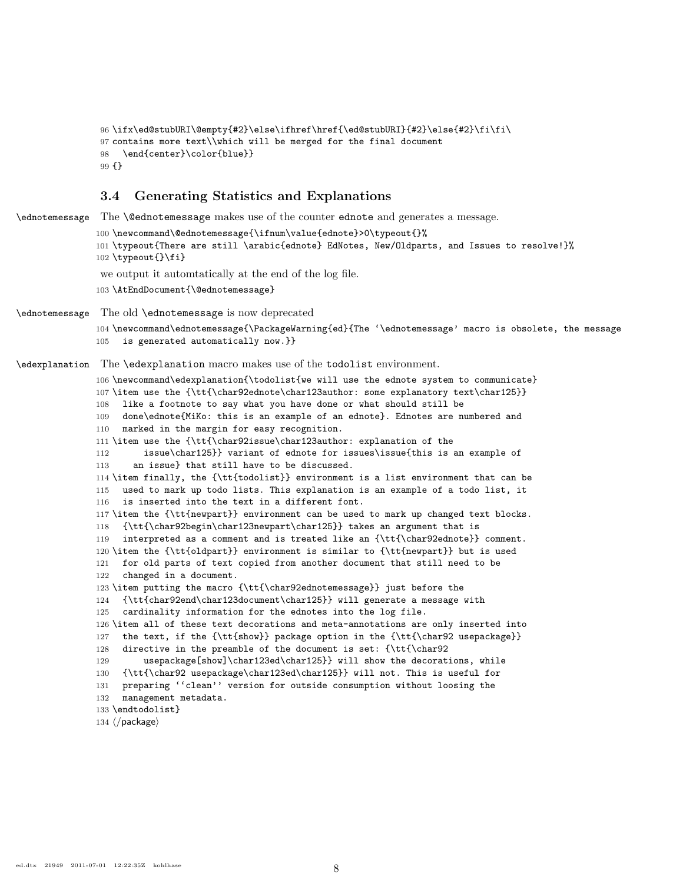```
96 \ifx\ed@stubURI\@empty{#2}\else\ifhref\href{\ed@stubURI}{#2}\else{#2}\fi\fi\
97 contains more text\\which will be merged for the final document
98 \end{center}\color{blue}}
99 {}
```
### <span id="page-7-0"></span>3.4 Generating Statistics and Explanations

```
\ednotemessage The \@ednotemessage makes use of the counter ednote and generates a message.
               100 \newcommand\@ednotemessage{\ifnum\value{ednote}>0\typeout{}%
               101 \typeout{There are still \arabic{ednote} EdNotes, New/Oldparts, and Issues to resolve!}%
               102 \typeout{}\fi}
                we output it automtatically at the end of the log file.
               103 \AtEndDocument{\@ednotemessage}
\ednotemessage The old \ednotemessage is now deprecated
               104 \newcommand\ednotemessage{\PackageWarning{ed}{The '\ednotemessage' macro is obsolete, the message
               105 is generated automatically now.}}
\edexplanation The \edexplanation macro makes use of the todolist environment.
               106 \newcommand\edexplanation{\todolist{we will use the ednote system to communicate}
               107 \item use the {\tt{\char92ednote\char123author: some explanatory text\char125}}
               108 like a footnote to say what you have done or what should still be
               109 done\ednote{MiKo: this is an example of an ednote}. Ednotes are numbered and
               110 marked in the margin for easy recognition.
               111 \item use the {\tt{\char92issue\char123author: explanation of the
               112 issue\char125}} variant of ednote for issues\issue{this is an example of
               113 an issue} that still have to be discussed.
               114 \item finally, the {\tt{todolist}} environment is a list environment that can be
               115 used to mark up todo lists. This explanation is an example of a todo list, it
               116 is inserted into the text in a different font.
               117 \item the {\tt{newpart}} environment can be used to mark up changed text blocks.
               118 {\tt{\char92begin\char123newpart\char125}} takes an argument that is
               119 interpreted as a comment and is treated like an {\tt{\char92ednote}} comment.
               120 \item the {\tt{oldpart}} environment is similar to {\tt{newpart}} but is used
               121 for old parts of text copied from another document that still need to be
               122 changed in a document.
               123 \item putting the macro {\tt{\char92ednotemessage}} just before the
               124 {\tt{char92end\char123document\char125}} will generate a message with
               125 cardinality information for the ednotes into the log file.
               126 \item all of these text decorations and meta-annotations are only inserted into
               127 the text, if the {\tt{show}} package option in the {\tt{\char92 usepackage}}
               128 directive in the preamble of the document is set: {\tt{\char92
               129 usepackage[show]\char123ed\char125}} will show the decorations, while
               130 {\tt{\char92 usepackage\char123ed\char125}} will not. This is useful for
               131 preparing ''clean'' version for outside consumption without loosing the
               132 management metadata.
               133 \endtodolist}
               134 \langle/package\rangle
```